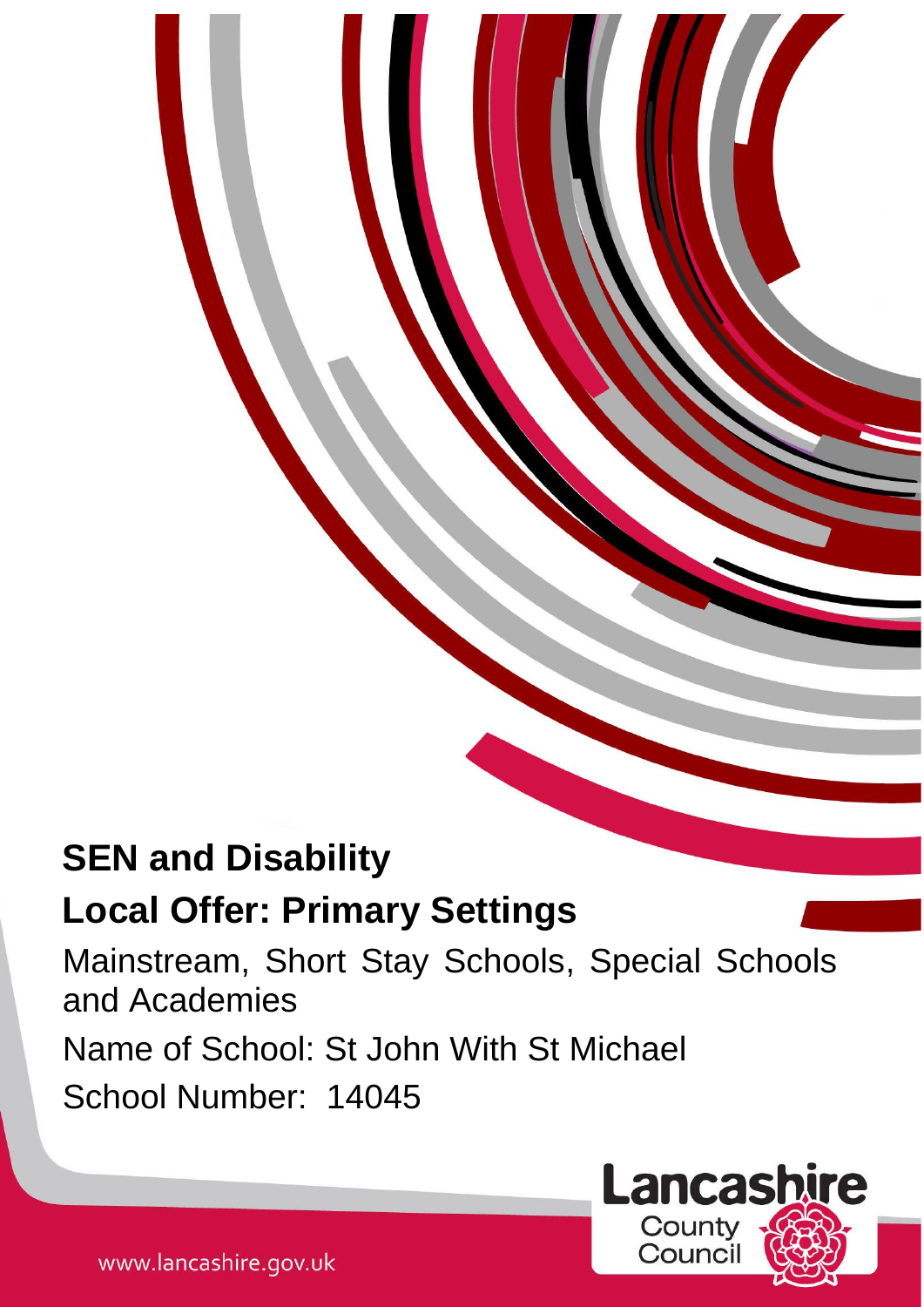# **SEN and Disability**

# **Local Offer: Primary Settings**

Mainstream, Short Stay Schools, Special Schools and Academies

1

Name of School: St John With St Michael

School Number: 14045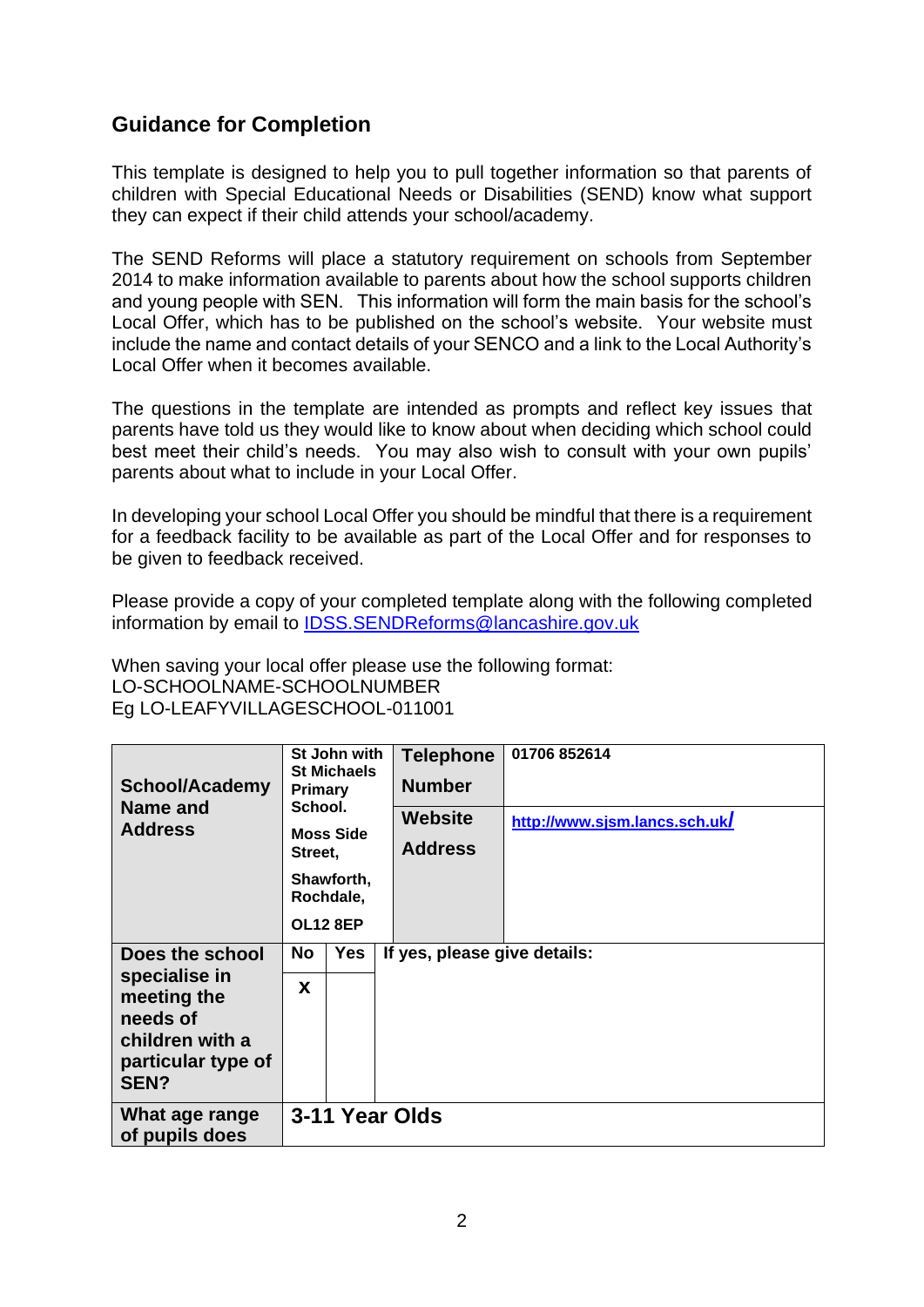# **Guidance for Completion**

This template is designed to help you to pull together information so that parents of children with Special Educational Needs or Disabilities (SEND) know what support they can expect if their child attends your school/academy.

The SEND Reforms will place a statutory requirement on schools from September 2014 to make information available to parents about how the school supports children and young people with SEN. This information will form the main basis for the school's Local Offer, which has to be published on the school's website. Your website must include the name and contact details of your SENCO and a link to the Local Authority's Local Offer when it becomes available.

The questions in the template are intended as prompts and reflect key issues that parents have told us they would like to know about when deciding which school could best meet their child's needs. You may also wish to consult with your own pupils' parents about what to include in your Local Offer.

In developing your school Local Offer you should be mindful that there is a requirement for a feedback facility to be available as part of the Local Offer and for responses to be given to feedback received.

Please provide a copy of your completed template along with the following completed information by email to [IDSS.SENDReforms@lancashire.gov.uk](mailto:IDSS.SENDReforms@lancashire.gov.uk)

When saving your local offer please use the following format: LO-SCHOOLNAME-SCHOOLNUMBER Eg LO-LEAFYVILLAGESCHOOL-011001

| <b>School/Academy</b><br>Name and<br><b>Address</b>                                                          | St John with<br><b>St Michaels</b><br><b>Primary</b><br>School.<br><b>Moss Side</b><br>Street,<br>Shawforth,<br>Rochdale,<br><b>OL12 8EP</b> |     | <b>Telephone</b><br><b>Number</b><br>Website<br><b>Address</b> | 01706 852614<br>http://www.sjsm.lancs.sch.uk/ |  |
|--------------------------------------------------------------------------------------------------------------|----------------------------------------------------------------------------------------------------------------------------------------------|-----|----------------------------------------------------------------|-----------------------------------------------|--|
| Does the school<br>specialise in<br>meeting the<br>needs of<br>children with a<br>particular type of<br>SEN? | No                                                                                                                                           | Yes | If yes, please give details:                                   |                                               |  |
|                                                                                                              | X                                                                                                                                            |     |                                                                |                                               |  |
| What age range<br>of pupils does                                                                             | 3-11 Year Olds                                                                                                                               |     |                                                                |                                               |  |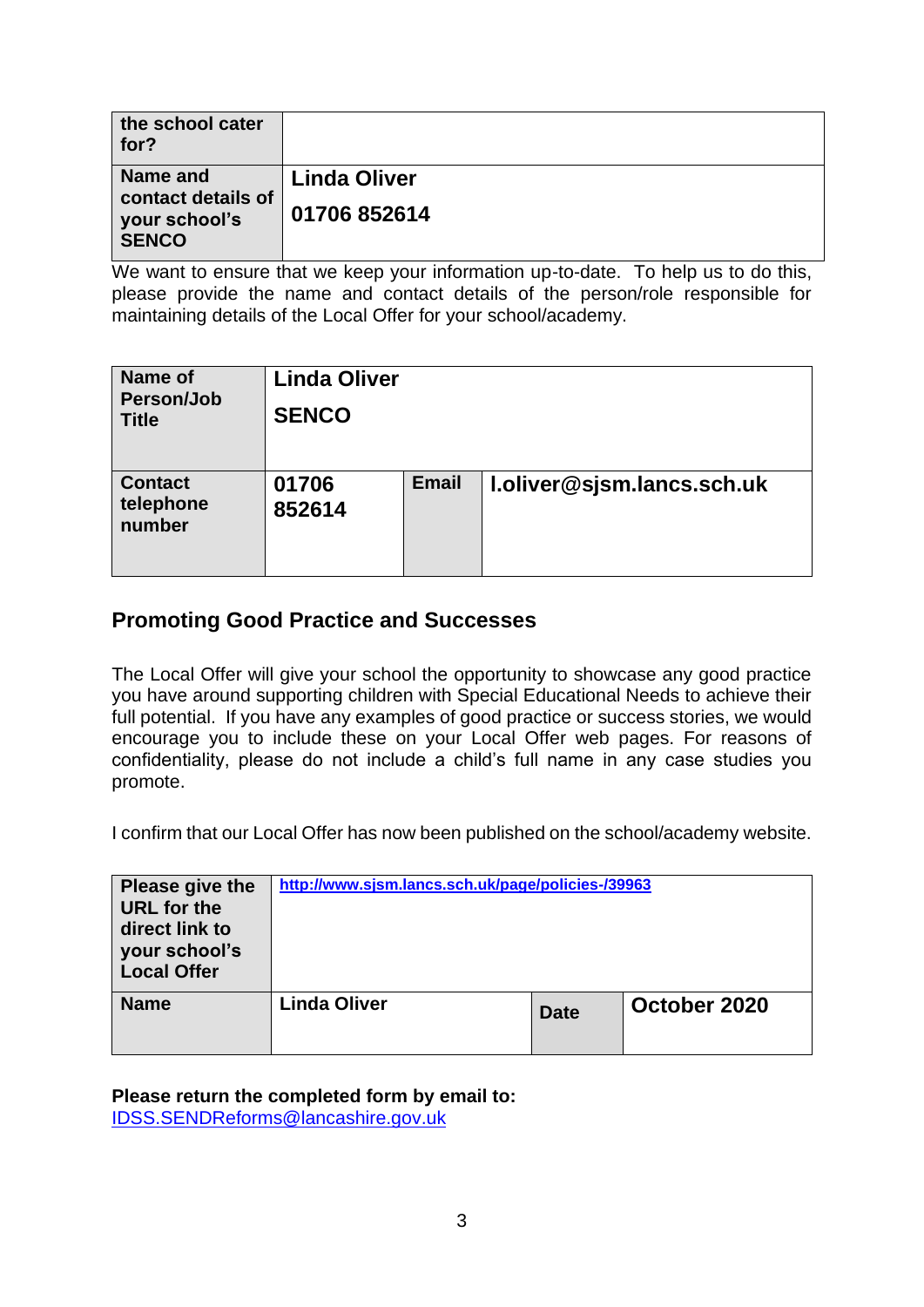| the school cater<br>for?                            |                     |
|-----------------------------------------------------|---------------------|
| Name and                                            | <b>Linda Oliver</b> |
| contact details of<br>your school's<br><b>SENCO</b> | 01706 852614        |

We want to ensure that we keep your information up-to-date. To help us to do this, please provide the name and contact details of the person/role responsible for maintaining details of the Local Offer for your school/academy.

| Name of<br>Person/Job<br><b>Title</b> | <b>Linda Oliver</b><br><b>SENCO</b> |              |                            |
|---------------------------------------|-------------------------------------|--------------|----------------------------|
| <b>Contact</b><br>telephone<br>number | 01706<br>852614                     | <b>Email</b> | I.oliver@sjsm.lancs.sch.uk |

# **Promoting Good Practice and Successes**

The Local Offer will give your school the opportunity to showcase any good practice you have around supporting children with Special Educational Needs to achieve their full potential. If you have any examples of good practice or success stories, we would encourage you to include these on your Local Offer web pages. For reasons of confidentiality, please do not include a child's full name in any case studies you promote.

I confirm that our Local Offer has now been published on the school/academy website.

| Please give the<br>URL for the<br>direct link to<br>your school's<br><b>Local Offer</b> | http://www.sjsm.lancs.sch.uk/page/policies-/39963 |             |              |
|-----------------------------------------------------------------------------------------|---------------------------------------------------|-------------|--------------|
| <b>Name</b>                                                                             | <b>Linda Oliver</b>                               | <b>Date</b> | October 2020 |

**Please return the completed form by email to:** 

[IDSS.SENDReforms@lancashire.gov.uk](mailto:IDSS.SENDReforms@lancashire.gov.uk)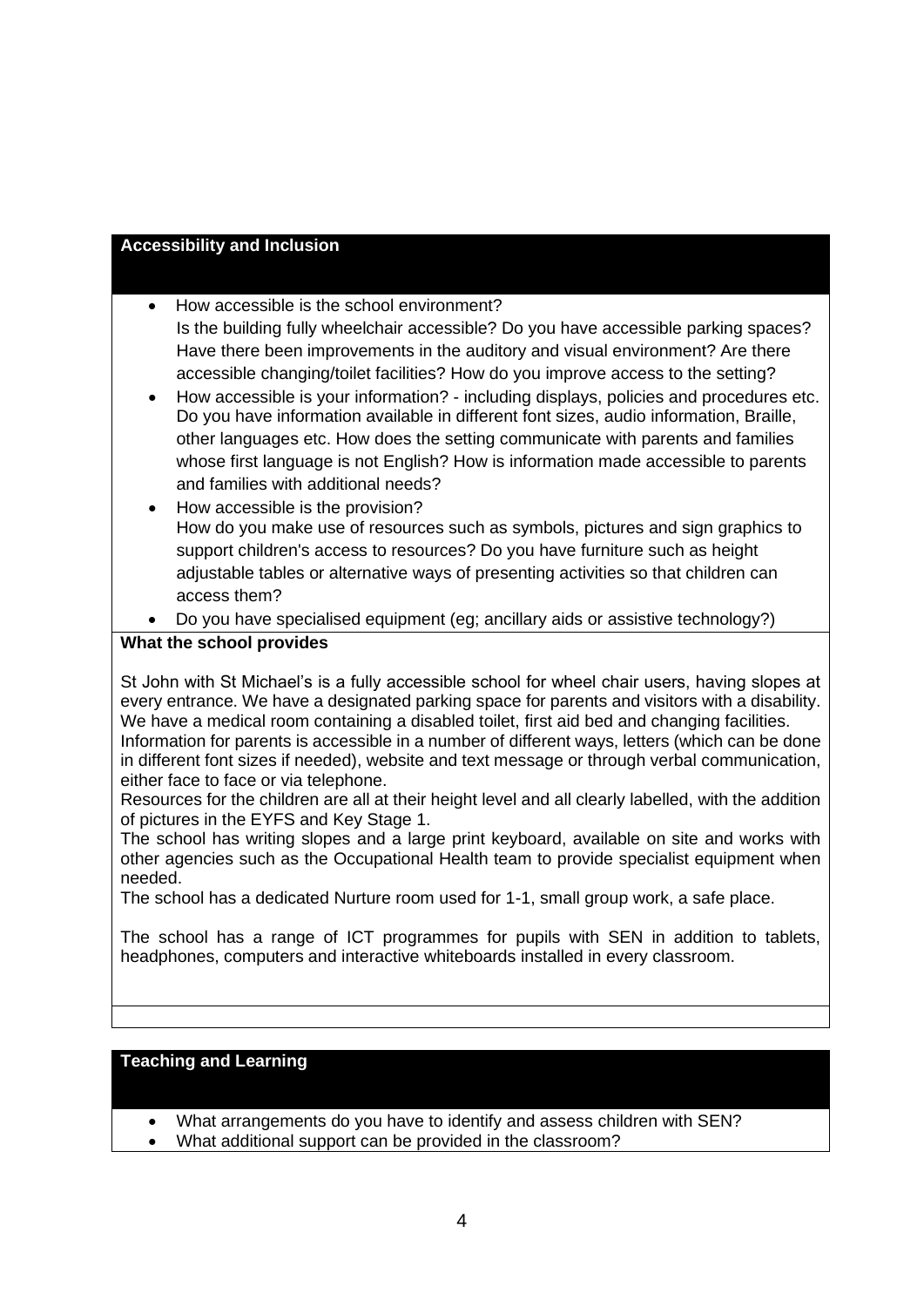# **Accessibility and Inclusion**

- How accessible is the school environment? Is the building fully wheelchair accessible? Do you have accessible parking spaces? Have there been improvements in the auditory and visual environment? Are there accessible changing/toilet facilities? How do you improve access to the setting?
- How accessible is your information? including displays, policies and procedures etc. Do you have information available in different font sizes, audio information, Braille, other languages etc. How does the setting communicate with parents and families whose first language is not English? How is information made accessible to parents and families with additional needs?
- How accessible is the provision? How do you make use of resources such as symbols, pictures and sign graphics to support children's access to resources? Do you have furniture such as height adjustable tables or alternative ways of presenting activities so that children can access them?
- Do you have specialised equipment (eg; ancillary aids or assistive technology?)

# **What the school provides**

St John with St Michael's is a fully accessible school for wheel chair users, having slopes at every entrance. We have a designated parking space for parents and visitors with a disability. We have a medical room containing a disabled toilet, first aid bed and changing facilities. Information for parents is accessible in a number of different ways, letters (which can be done in different font sizes if needed), website and text message or through verbal communication, either face to face or via telephone.

Resources for the children are all at their height level and all clearly labelled, with the addition of pictures in the EYFS and Key Stage 1.

The school has writing slopes and a large print keyboard, available on site and works with other agencies such as the Occupational Health team to provide specialist equipment when needed.

The school has a dedicated Nurture room used for 1-1, small group work, a safe place.

The school has a range of ICT programmes for pupils with SEN in addition to tablets, headphones, computers and interactive whiteboards installed in every classroom.

# **Teaching and Learning**

- What arrangements do you have to identify and assess children with SEN?
- What additional support can be provided in the classroom?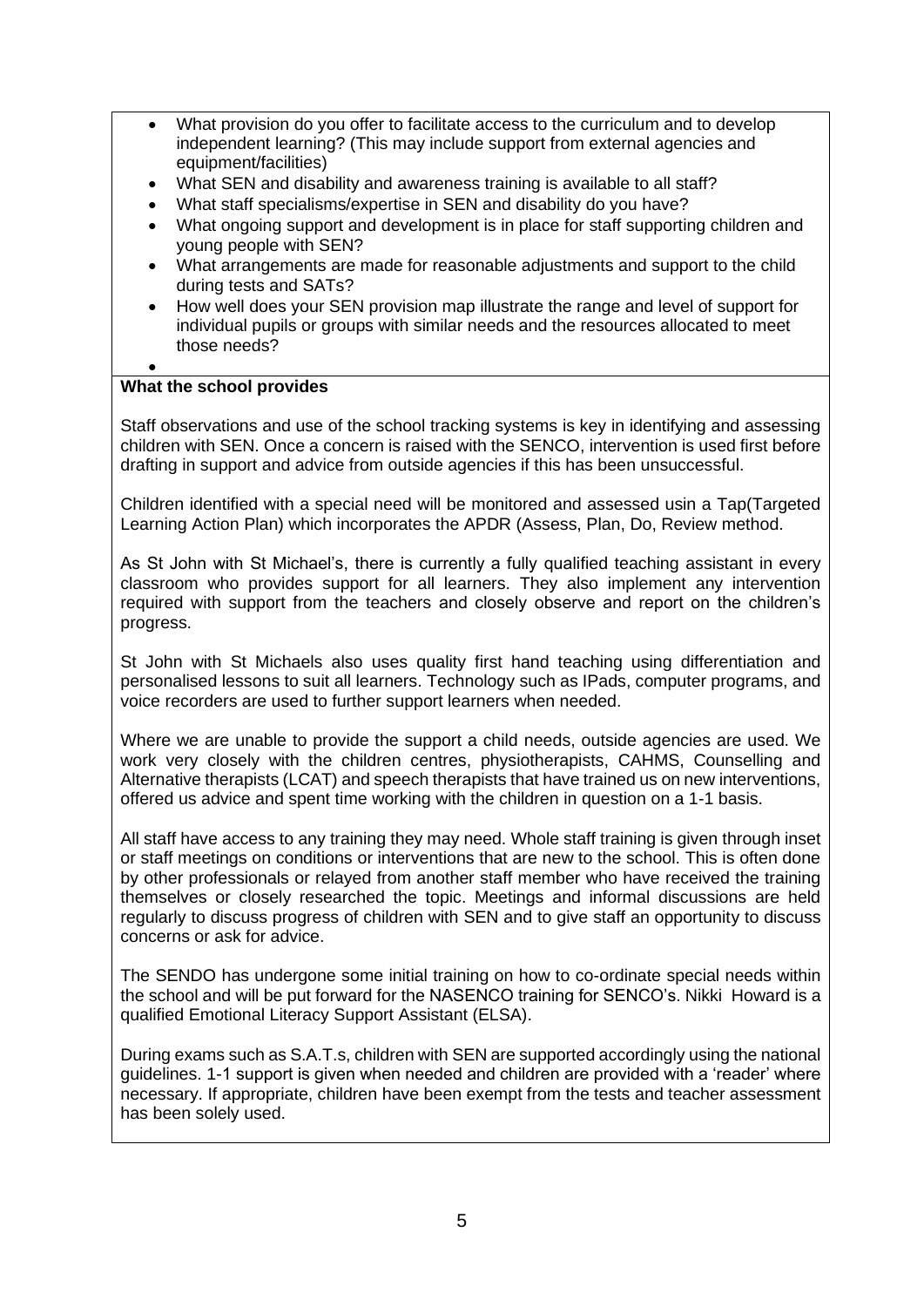- What provision do you offer to facilitate access to the curriculum and to develop independent learning? (This may include support from external agencies and equipment/facilities)
- What SEN and disability and awareness training is available to all staff?
- What staff specialisms/expertise in SEN and disability do you have?
- What ongoing support and development is in place for staff supporting children and young people with SEN?
- What arrangements are made for reasonable adjustments and support to the child during tests and SATs?
- How well does your SEN provision map illustrate the range and level of support for individual pupils or groups with similar needs and the resources allocated to meet those needs?
- •

#### **What the school provides**

Staff observations and use of the school tracking systems is key in identifying and assessing children with SEN. Once a concern is raised with the SENCO, intervention is used first before drafting in support and advice from outside agencies if this has been unsuccessful.

Children identified with a special need will be monitored and assessed usin a Tap(Targeted Learning Action Plan) which incorporates the APDR (Assess, Plan, Do, Review method.

As St John with St Michael's, there is currently a fully qualified teaching assistant in every classroom who provides support for all learners. They also implement any intervention required with support from the teachers and closely observe and report on the children's progress.

St John with St Michaels also uses quality first hand teaching using differentiation and personalised lessons to suit all learners. Technology such as IPads, computer programs, and voice recorders are used to further support learners when needed.

Where we are unable to provide the support a child needs, outside agencies are used. We work very closely with the children centres, physiotherapists, CAHMS, Counselling and Alternative therapists (LCAT) and speech therapists that have trained us on new interventions, offered us advice and spent time working with the children in question on a 1-1 basis.

All staff have access to any training they may need. Whole staff training is given through inset or staff meetings on conditions or interventions that are new to the school. This is often done by other professionals or relayed from another staff member who have received the training themselves or closely researched the topic. Meetings and informal discussions are held regularly to discuss progress of children with SEN and to give staff an opportunity to discuss concerns or ask for advice.

The SENDO has undergone some initial training on how to co-ordinate special needs within the school and will be put forward for the NASENCO training for SENCO's. Nikki Howard is a qualified Emotional Literacy Support Assistant (ELSA).

During exams such as S.A.T.s, children with SEN are supported accordingly using the national guidelines. 1-1 support is given when needed and children are provided with a 'reader' where necessary. If appropriate, children have been exempt from the tests and teacher assessment has been solely used.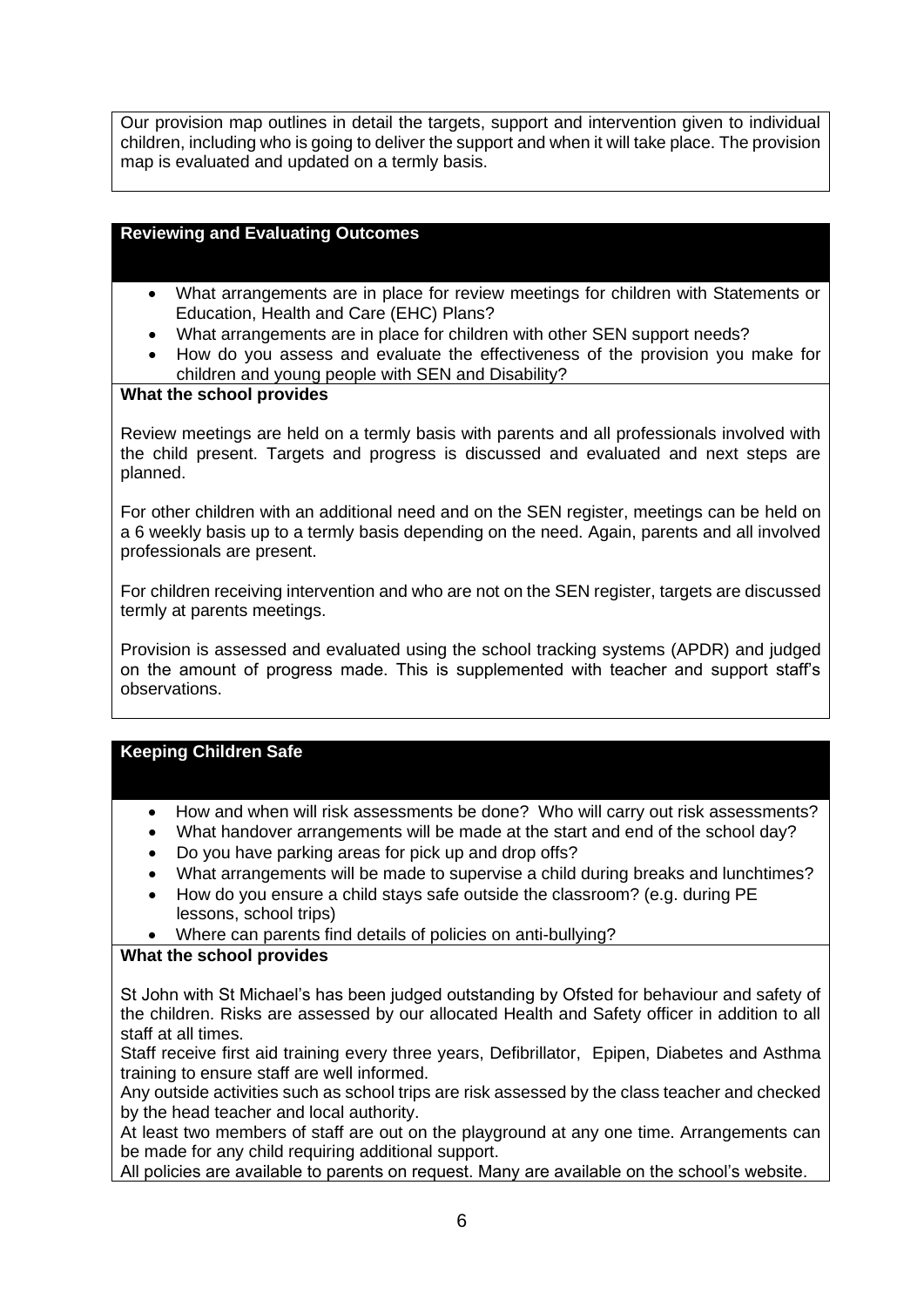Our provision map outlines in detail the targets, support and intervention given to individual children, including who is going to deliver the support and when it will take place. The provision map is evaluated and updated on a termly basis.

# **Reviewing and Evaluating Outcomes**

- What arrangements are in place for review meetings for children with Statements or Education, Health and Care (EHC) Plans?
- What arrangements are in place for children with other SEN support needs?
- How do you assess and evaluate the effectiveness of the provision you make for children and young people with SEN and Disability?

#### **What the school provides**

Review meetings are held on a termly basis with parents and all professionals involved with the child present. Targets and progress is discussed and evaluated and next steps are planned.

For other children with an additional need and on the SEN register, meetings can be held on a 6 weekly basis up to a termly basis depending on the need. Again, parents and all involved professionals are present.

For children receiving intervention and who are not on the SEN register, targets are discussed termly at parents meetings.

Provision is assessed and evaluated using the school tracking systems (APDR) and judged on the amount of progress made. This is supplemented with teacher and support staff's observations.

#### **Keeping Children Safe**

- How and when will risk assessments be done? Who will carry out risk assessments?
- What handover arrangements will be made at the start and end of the school day?
- Do you have parking areas for pick up and drop offs?
- What arrangements will be made to supervise a child during breaks and lunchtimes?
- How do you ensure a child stays safe outside the classroom? (e.g. during PE lessons, school trips)
- Where can parents find details of policies on anti-bullying?

#### **What the school provides**

St John with St Michael's has been judged outstanding by Ofsted for behaviour and safety of the children. Risks are assessed by our allocated Health and Safety officer in addition to all staff at all times.

Staff receive first aid training every three years, Defibrillator, Epipen, Diabetes and Asthma training to ensure staff are well informed.

Any outside activities such as school trips are risk assessed by the class teacher and checked by the head teacher and local authority.

At least two members of staff are out on the playground at any one time. Arrangements can be made for any child requiring additional support.

All policies are available to parents on request. Many are available on the school's website.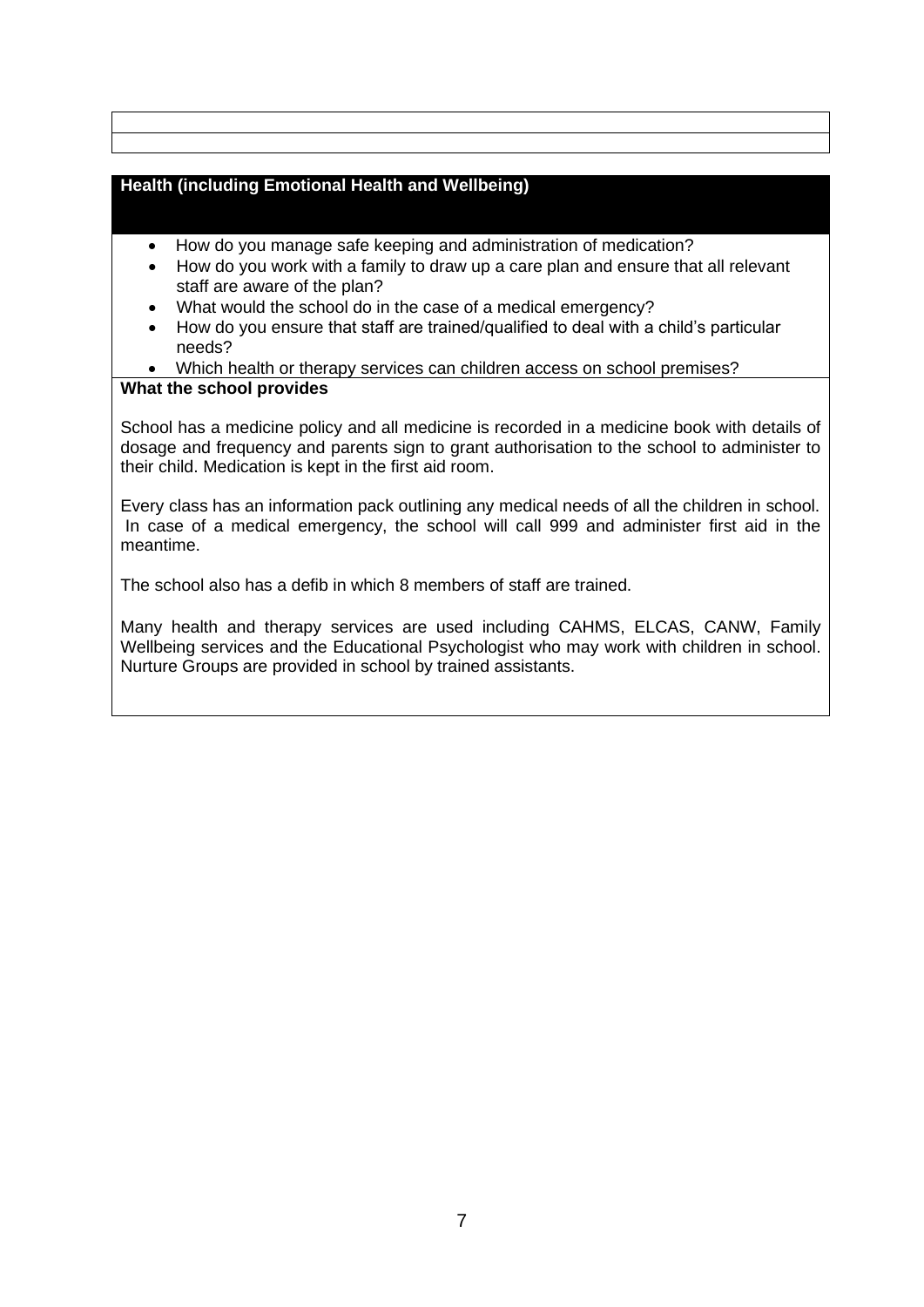# **Health (including Emotional Health and Wellbeing)**

- How do you manage safe keeping and administration of medication?
- How do you work with a family to draw up a care plan and ensure that all relevant staff are aware of the plan?
- What would the school do in the case of a medical emergency?
- How do you ensure that staff are trained/qualified to deal with a child's particular needs?
- Which health or therapy services can children access on school premises?

#### **What the school provides**

School has a medicine policy and all medicine is recorded in a medicine book with details of dosage and frequency and parents sign to grant authorisation to the school to administer to their child. Medication is kept in the first aid room.

Every class has an information pack outlining any medical needs of all the children in school. In case of a medical emergency, the school will call 999 and administer first aid in the meantime.

The school also has a defib in which 8 members of staff are trained.

Many health and therapy services are used including CAHMS, ELCAS, CANW, Family Wellbeing services and the Educational Psychologist who may work with children in school. Nurture Groups are provided in school by trained assistants.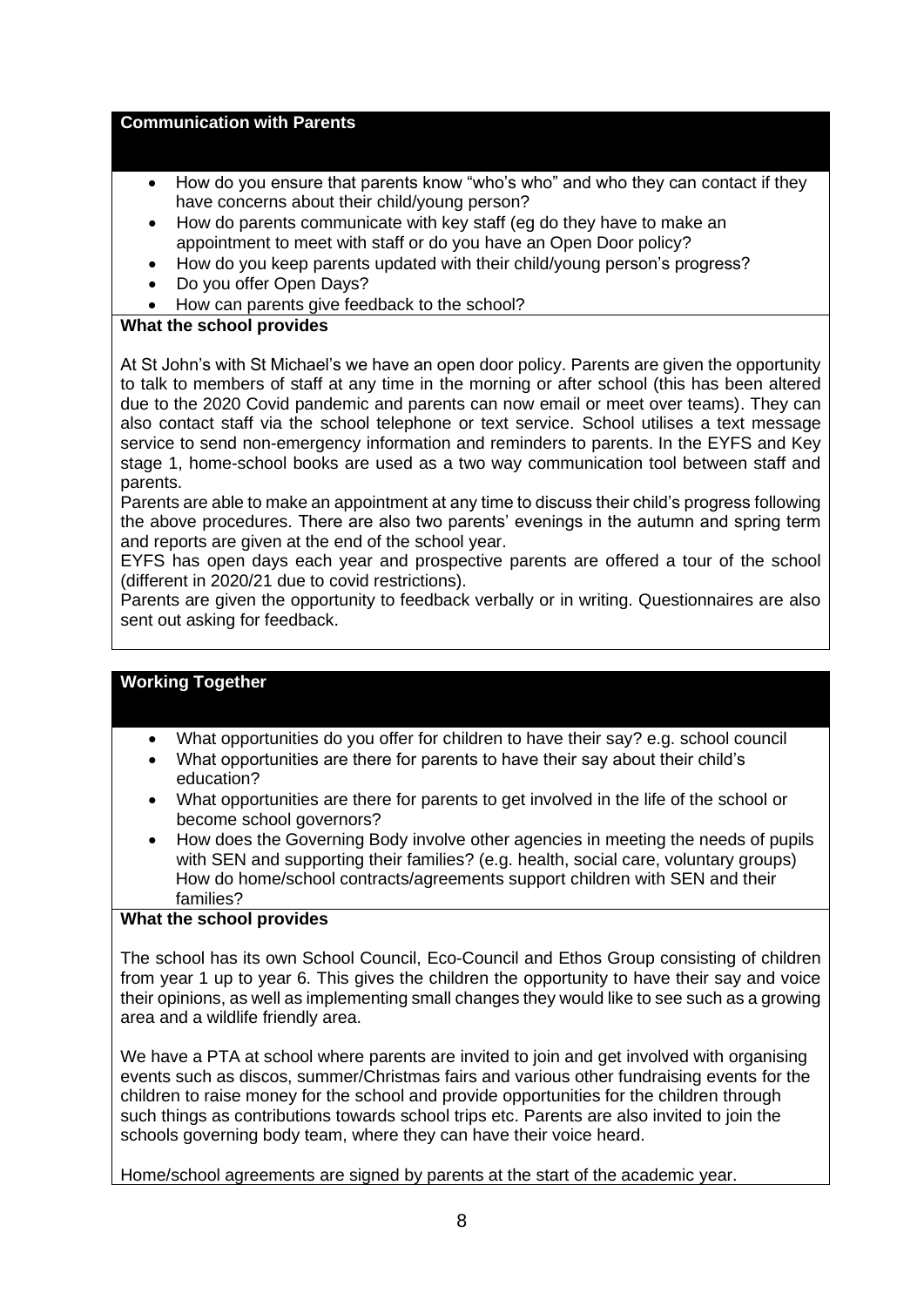#### **Communication with Parents**

- How do you ensure that parents know "who's who" and who they can contact if they have concerns about their child/young person?
- How do parents communicate with key staff (eg do they have to make an appointment to meet with staff or do you have an Open Door policy?
- How do you keep parents updated with their child/young person's progress?
- Do you offer Open Days?
- How can parents give feedback to the school?

## **What the school provides**

At St John's with St Michael's we have an open door policy. Parents are given the opportunity to talk to members of staff at any time in the morning or after school (this has been altered due to the 2020 Covid pandemic and parents can now email or meet over teams). They can also contact staff via the school telephone or text service. School utilises a text message service to send non-emergency information and reminders to parents. In the EYFS and Key stage 1, home-school books are used as a two way communication tool between staff and parents.

Parents are able to make an appointment at any time to discuss their child's progress following the above procedures. There are also two parents' evenings in the autumn and spring term and reports are given at the end of the school year.

EYFS has open days each year and prospective parents are offered a tour of the school (different in 2020/21 due to covid restrictions).

Parents are given the opportunity to feedback verbally or in writing. Questionnaires are also sent out asking for feedback.

#### **Working Together**

- What opportunities do you offer for children to have their say? e.g. school council
- What opportunities are there for parents to have their say about their child's education?
- What opportunities are there for parents to get involved in the life of the school or become school governors?
- How does the Governing Body involve other agencies in meeting the needs of pupils with SEN and supporting their families? (e.g. health, social care, voluntary groups) How do home/school contracts/agreements support children with SEN and their families?

#### **What the school provides**

The school has its own School Council, Eco-Council and Ethos Group consisting of children from year 1 up to year 6. This gives the children the opportunity to have their say and voice their opinions, as well as implementing small changes they would like to see such as a growing area and a wildlife friendly area.

We have a PTA at school where parents are invited to join and get involved with organising events such as discos, summer/Christmas fairs and various other fundraising events for the children to raise money for the school and provide opportunities for the children through such things as contributions towards school trips etc. Parents are also invited to join the schools governing body team, where they can have their voice heard.

Home/school agreements are signed by parents at the start of the academic year.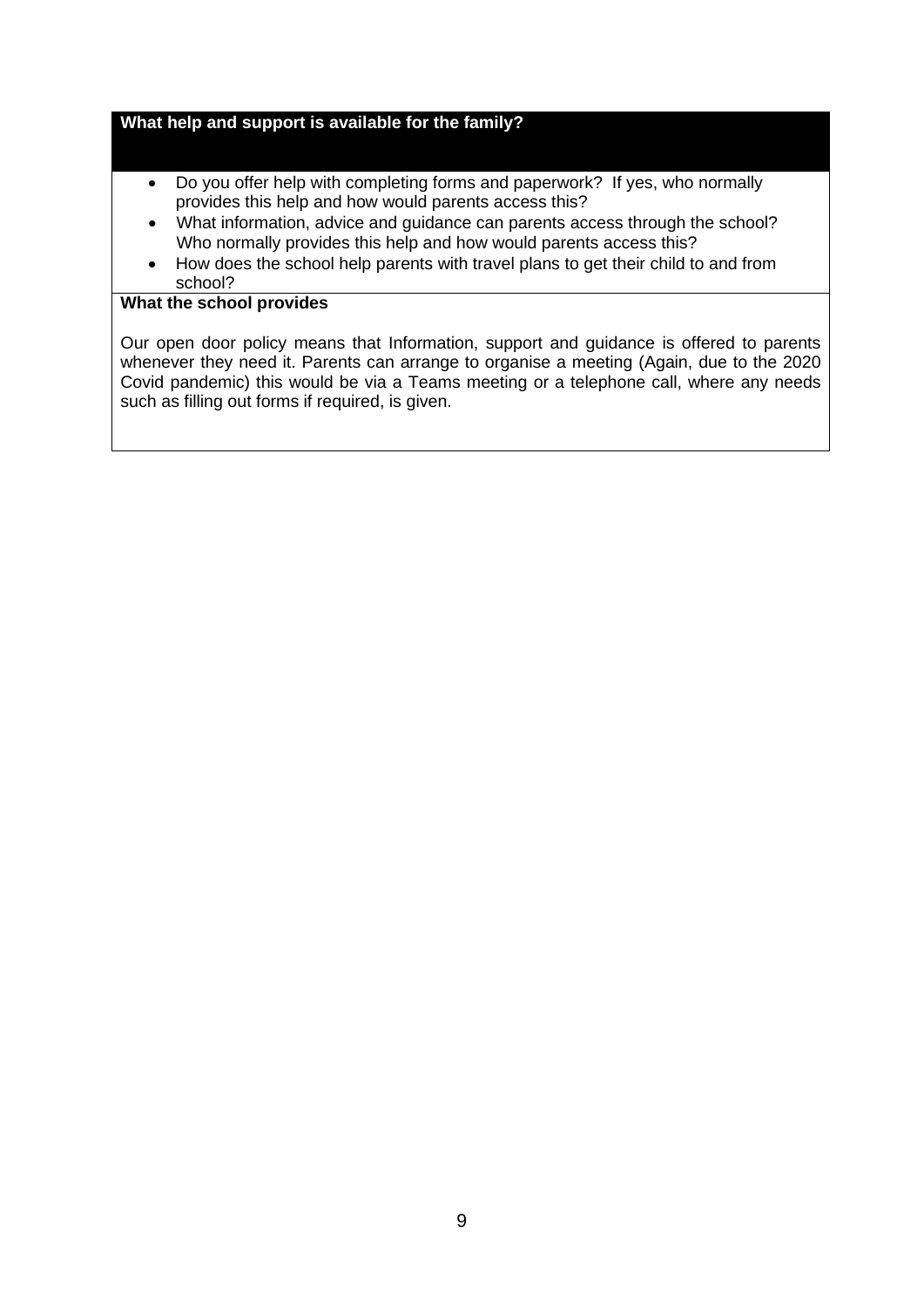#### **What help and support is available for the family?**

- Do you offer help with completing forms and paperwork? If yes, who normally provides this help and how would parents access this?
- What information, advice and guidance can parents access through the school? Who normally provides this help and how would parents access this?
- How does the school help parents with travel plans to get their child to and from school?

## **What the school provides**

Our open door policy means that Information, support and guidance is offered to parents whenever they need it. Parents can arrange to organise a meeting (Again, due to the 2020 Covid pandemic) this would be via a Teams meeting or a telephone call, where any needs such as filling out forms if required, is given.